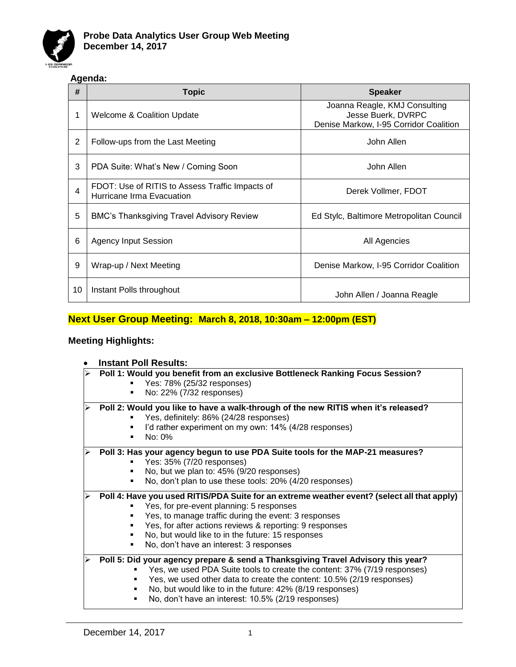

# **Agenda:**

| #  | Topic                                                                        | <b>Speaker</b>                                                                                |  |
|----|------------------------------------------------------------------------------|-----------------------------------------------------------------------------------------------|--|
|    | Welcome & Coalition Update                                                   | Joanna Reagle, KMJ Consulting<br>Jesse Buerk, DVRPC<br>Denise Markow, I-95 Corridor Coalition |  |
| 2  | Follow-ups from the Last Meeting                                             | John Allen                                                                                    |  |
| 3  | PDA Suite: What's New / Coming Soon                                          | John Allen                                                                                    |  |
| 4  | FDOT: Use of RITIS to Assess Traffic Impacts of<br>Hurricane Irma Evacuation | Derek Vollmer, FDOT                                                                           |  |
| 5  | BMC's Thanksgiving Travel Advisory Review                                    | Ed Stylc, Baltimore Metropolitan Council                                                      |  |
| 6  | <b>Agency Input Session</b>                                                  | All Agencies                                                                                  |  |
| 9  | Wrap-up / Next Meeting                                                       | Denise Markow, I-95 Corridor Coalition                                                        |  |
| 10 | Instant Polls throughout                                                     | John Allen / Joanna Reagle                                                                    |  |

# **Next User Group Meeting: March 8, 2018, 10:30am – 12:00pm (EST)**

# **Meeting Highlights:**

# • **Instant Poll Results:**

| Poll 1: Would you benefit from an exclusive Bottleneck Ranking Focus Session?               |  |  |  |
|---------------------------------------------------------------------------------------------|--|--|--|
| Yes: 78% (25/32 responses)                                                                  |  |  |  |
| No: 22% (7/32 responses)                                                                    |  |  |  |
|                                                                                             |  |  |  |
| Poll 2: Would you like to have a walk-through of the new RITIS when it's released?          |  |  |  |
| Yes, definitely: 86% (24/28 responses)                                                      |  |  |  |
| I'd rather experiment on my own: 14% (4/28 responses)                                       |  |  |  |
| No: 0%                                                                                      |  |  |  |
| Poll 3: Has your agency begun to use PDA Suite tools for the MAP-21 measures?               |  |  |  |
| Yes: 35% (7/20 responses)                                                                   |  |  |  |
| No, but we plan to: 45% (9/20 responses)                                                    |  |  |  |
| No, don't plan to use these tools: 20% (4/20 responses)                                     |  |  |  |
| Poll 4: Have you used RITIS/PDA Suite for an extreme weather event? (select all that apply) |  |  |  |
| Yes, for pre-event planning: 5 responses                                                    |  |  |  |
| Yes, to manage traffic during the event: 3 responses                                        |  |  |  |
| Yes, for after actions reviews & reporting: 9 responses                                     |  |  |  |
| No, but would like to in the future: 15 responses                                           |  |  |  |
| No, don't have an interest: 3 responses                                                     |  |  |  |
|                                                                                             |  |  |  |
| Poll 5: Did your agency prepare & send a Thanksgiving Travel Advisory this year?            |  |  |  |
| Yes, we used PDA Suite tools to create the content: 37% (7/19 responses)                    |  |  |  |
| Yes, we used other data to create the content: 10.5% (2/19 responses)                       |  |  |  |
| No, but would like to in the future: 42% (8/19 responses)                                   |  |  |  |
| No, don't have an interest: 10.5% (2/19 responses)                                          |  |  |  |
|                                                                                             |  |  |  |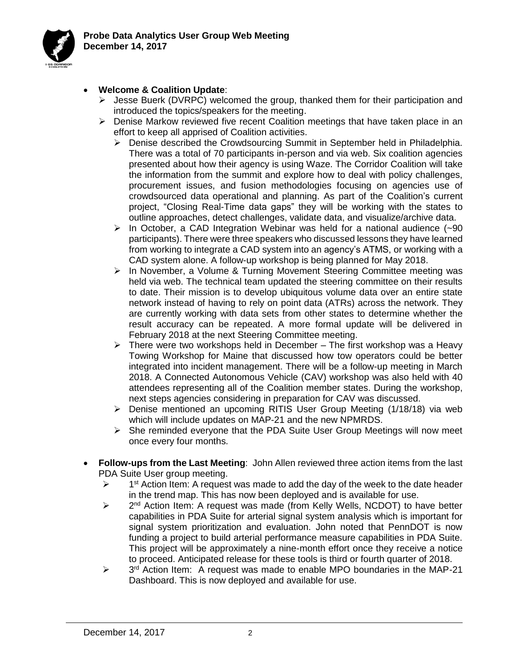

#### • **Welcome & Coalition Update**:

- ➢ Jesse Buerk (DVRPC) welcomed the group, thanked them for their participation and introduced the topics/speakers for the meeting.
- $\triangleright$  Denise Markow reviewed five recent Coalition meetings that have taken place in an effort to keep all apprised of Coalition activities.
	- ➢ Denise described the Crowdsourcing Summit in September held in Philadelphia. There was a total of 70 participants in-person and via web. Six coalition agencies presented about how their agency is using Waze. The Corridor Coalition will take the information from the summit and explore how to deal with policy challenges, procurement issues, and fusion methodologies focusing on agencies use of crowdsourced data operational and planning. As part of the Coalition's current project, "Closing Real-Time data gaps" they will be working with the states to outline approaches, detect challenges, validate data, and visualize/archive data.
	- $\triangleright$  In October, a CAD Integration Webinar was held for a national audience (~90) participants). There were three speakers who discussed lessons they have learned from working to integrate a CAD system into an agency's ATMS, or working with a CAD system alone. A follow-up workshop is being planned for May 2018.
	- ➢ In November, a Volume & Turning Movement Steering Committee meeting was held via web. The technical team updated the steering committee on their results to date. Their mission is to develop ubiquitous volume data over an entire state network instead of having to rely on point data (ATRs) across the network. They are currently working with data sets from other states to determine whether the result accuracy can be repeated. A more formal update will be delivered in February 2018 at the next Steering Committee meeting.
	- $\triangleright$  There were two workshops held in December The first workshop was a Heavy Towing Workshop for Maine that discussed how tow operators could be better integrated into incident management. There will be a follow-up meeting in March 2018. A Connected Autonomous Vehicle (CAV) workshop was also held with 40 attendees representing all of the Coalition member states. During the workshop, next steps agencies considering in preparation for CAV was discussed.
	- ➢ Denise mentioned an upcoming RITIS User Group Meeting (1/18/18) via web which will include updates on MAP-21 and the new NPMRDS.
	- ➢ She reminded everyone that the PDA Suite User Group Meetings will now meet once every four months.
- **Follow-ups from the Last Meeting**: John Allen reviewed three action items from the last PDA Suite User group meeting.
	- $\blacktriangleright$  $1<sup>st</sup>$  Action Item: A request was made to add the day of the week to the date header in the trend map. This has now been deployed and is available for use.
	- $\blacktriangleright$ 2<sup>nd</sup> Action Item: A request was made (from Kelly Wells, NCDOT) to have better capabilities in PDA Suite for arterial signal system analysis which is important for signal system prioritization and evaluation. John noted that PennDOT is now funding a project to build arterial performance measure capabilities in PDA Suite. This project will be approximately a nine-month effort once they receive a notice to proceed. Anticipated release for these tools is third or fourth quarter of 2018.
	- $\blacktriangleright$ 3<sup>rd</sup> Action Item: A request was made to enable MPO boundaries in the MAP-21 Dashboard. This is now deployed and available for use.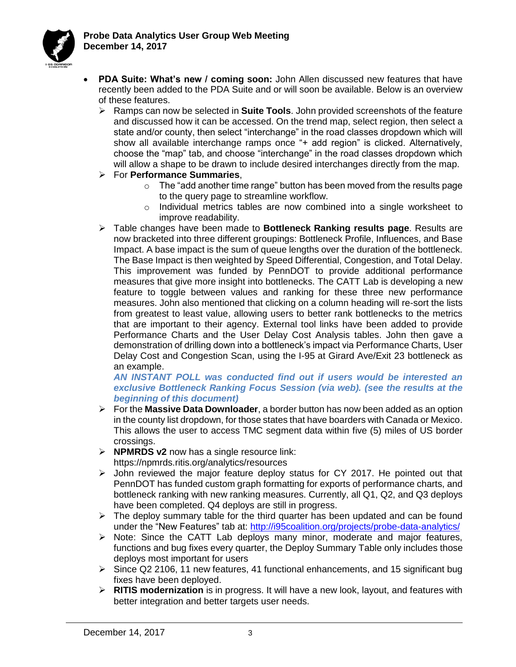

- **PDA Suite: What's new / coming soon:** John Allen discussed new features that have recently been added to the PDA Suite and or will soon be available. Below is an overview of these features.
	- ➢ Ramps can now be selected in **Suite Tools**. John provided screenshots of the feature and discussed how it can be accessed. On the trend map, select region, then select a state and/or county, then select "interchange" in the road classes dropdown which will show all available interchange ramps once "+ add region" is clicked. Alternatively, choose the "map" tab, and choose "interchange" in the road classes dropdown which will allow a shape to be drawn to include desired interchanges directly from the map.
	- ➢ For **Performance Summaries**,
		- $\circ$  The "add another time range" button has been moved from the results page to the query page to streamline workflow.
		- $\circ$  Individual metrics tables are now combined into a single worksheet to improve readability.
	- ➢ Table changes have been made to **Bottleneck Ranking results page**. Results are now bracketed into three different groupings: Bottleneck Profile, Influences, and Base Impact. A base impact is the sum of queue lengths over the duration of the bottleneck. The Base Impact is then weighted by Speed Differential, Congestion, and Total Delay. This improvement was funded by PennDOT to provide additional performance measures that give more insight into bottlenecks. The CATT Lab is developing a new feature to toggle between values and ranking for these three new performance measures. John also mentioned that clicking on a column heading will re-sort the lists from greatest to least value, allowing users to better rank bottlenecks to the metrics that are important to their agency. External tool links have been added to provide Performance Charts and the User Delay Cost Analysis tables. John then gave a demonstration of drilling down into a bottleneck's impact via Performance Charts, User Delay Cost and Congestion Scan, using the I-95 at Girard Ave/Exit 23 bottleneck as an example.

#### *AN INSTANT POLL was conducted find out if users would be interested an exclusive Bottleneck Ranking Focus Session (via web). (see the results at the beginning of this document)*

- ➢ For the **Massive Data Downloader**, a border button has now been added as an option in the county list dropdown, for those states that have boarders with Canada or Mexico. This allows the user to access TMC segment data within five (5) miles of US border crossings.
- ➢ **NPMRDS v2** now has a single resource link: https://npmrds.ritis.org/analytics/resources
- $\triangleright$  John reviewed the major feature deploy status for CY 2017. He pointed out that PennDOT has funded custom graph formatting for exports of performance charts, and bottleneck ranking with new ranking measures. Currently, all Q1, Q2, and Q3 deploys have been completed. Q4 deploys are still in progress.
- $\triangleright$  The deploy summary table for the third quarter has been updated and can be found under the "New Features" tab at:<http://i95coalition.org/projects/probe-data-analytics/>
- ➢ Note: Since the CATT Lab deploys many minor, moderate and major features, functions and bug fixes every quarter, the Deploy Summary Table only includes those deploys most important for users
- $\triangleright$  Since Q2 2106, 11 new features, 41 functional enhancements, and 15 significant bug fixes have been deployed.
- ➢ **RITIS modernization** is in progress. It will have a new look, layout, and features with better integration and better targets user needs.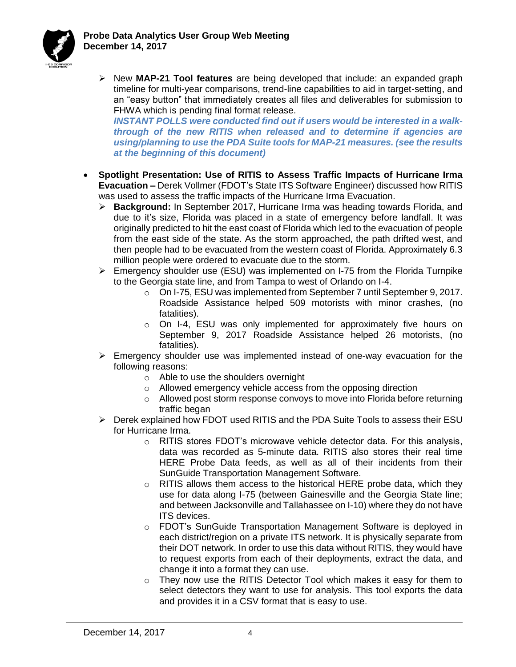

➢ New **MAP-21 Tool features** are being developed that include: an expanded graph timeline for multi-year comparisons, trend-line capabilities to aid in target-setting, and an "easy button" that immediately creates all files and deliverables for submission to FHWA which is pending final format release.

*INSTANT POLLS were conducted find out if users would be interested in a walkthrough of the new RITIS when released and to determine if agencies are using/planning to use the PDA Suite tools for MAP-21 measures. (see the results at the beginning of this document)*

- **Spotlight Presentation: Use of RITIS to Assess Traffic Impacts of Hurricane Irma Evacuation –** Derek Vollmer (FDOT's State ITS Software Engineer) discussed how RITIS was used to assess the traffic impacts of the Hurricane Irma Evacuation.
	- ➢ **Background:** In September 2017, Hurricane Irma was heading towards Florida, and due to it's size, Florida was placed in a state of emergency before landfall. It was originally predicted to hit the east coast of Florida which led to the evacuation of people from the east side of the state. As the storm approached, the path drifted west, and then people had to be evacuated from the western coast of Florida. Approximately 6.3 million people were ordered to evacuate due to the storm.
	- $\triangleright$  Emergency shoulder use (ESU) was implemented on I-75 from the Florida Turnpike to the Georgia state line, and from Tampa to west of Orlando on I-4.
		- o On I-75, ESU was implemented from September 7 until September 9, 2017. Roadside Assistance helped 509 motorists with minor crashes, (no fatalities).
		- $\circ$  On I-4, ESU was only implemented for approximately five hours on September 9, 2017 Roadside Assistance helped 26 motorists, (no fatalities).
	- ➢ Emergency shoulder use was implemented instead of one-way evacuation for the following reasons:
		- o Able to use the shoulders overnight
		- o Allowed emergency vehicle access from the opposing direction
		- $\circ$  Allowed post storm response convoys to move into Florida before returning traffic began
	- $\triangleright$  Derek explained how FDOT used RITIS and the PDA Suite Tools to assess their ESU for Hurricane Irma.
		- o RITIS stores FDOT's microwave vehicle detector data. For this analysis, data was recorded as 5-minute data. RITIS also stores their real time HERE Probe Data feeds, as well as all of their incidents from their SunGuide Transportation Management Software.
		- $\circ$  RITIS allows them access to the historical HERE probe data, which they use for data along I-75 (between Gainesville and the Georgia State line; and between Jacksonville and Tallahassee on I-10) where they do not have ITS devices.
		- o FDOT's SunGuide Transportation Management Software is deployed in each district/region on a private ITS network. It is physically separate from their DOT network. In order to use this data without RITIS, they would have to request exports from each of their deployments, extract the data, and change it into a format they can use.
		- o They now use the RITIS Detector Tool which makes it easy for them to select detectors they want to use for analysis. This tool exports the data and provides it in a CSV format that is easy to use.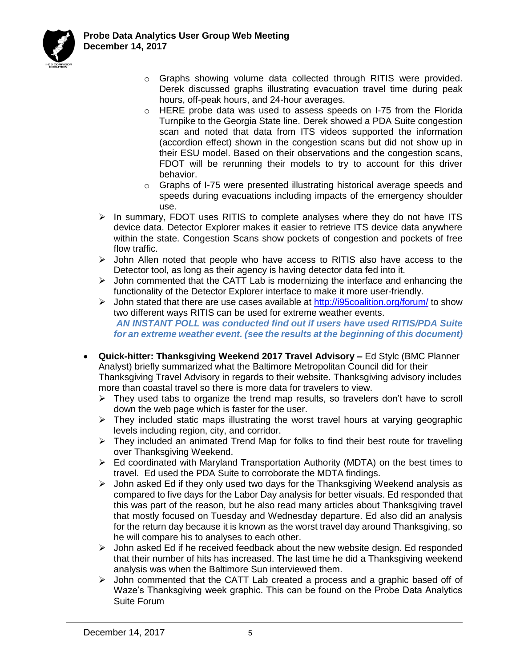

- o Graphs showing volume data collected through RITIS were provided. Derek discussed graphs illustrating evacuation travel time during peak hours, off-peak hours, and 24-hour averages.
- $\circ$  HERE probe data was used to assess speeds on I-75 from the Florida Turnpike to the Georgia State line. Derek showed a PDA Suite congestion scan and noted that data from ITS videos supported the information (accordion effect) shown in the congestion scans but did not show up in their ESU model. Based on their observations and the congestion scans, FDOT will be rerunning their models to try to account for this driver behavior.
- o Graphs of I-75 were presented illustrating historical average speeds and speeds during evacuations including impacts of the emergency shoulder use.
- $\triangleright$  In summary, FDOT uses RITIS to complete analyses where they do not have ITS device data. Detector Explorer makes it easier to retrieve ITS device data anywhere within the state. Congestion Scans show pockets of congestion and pockets of free flow traffic.
- ➢ John Allen noted that people who have access to RITIS also have access to the Detector tool, as long as their agency is having detector data fed into it.
- $\triangleright$  John commented that the CATT Lab is modernizing the interface and enhancing the functionality of the Detector Explorer interface to make it more user-friendly.
- ➢ John stated that there are use cases available at<http://i95coalition.org/forum/> to show two different ways RITIS can be used for extreme weather events. *AN INSTANT POLL was conducted find out if users have used RITIS/PDA Suite for an extreme weather event. (see the results at the beginning of this document)*
- **Quick-hitter: Thanksgiving Weekend 2017 Travel Advisory –** Ed Stylc (BMC Planner Analyst) briefly summarized what the Baltimore Metropolitan Council did for their Thanksgiving Travel Advisory in regards to their website. Thanksgiving advisory includes more than coastal travel so there is more data for travelers to view.
	- $\triangleright$  They used tabs to organize the trend map results, so travelers don't have to scroll down the web page which is faster for the user.
	- $\triangleright$  They included static maps illustrating the worst travel hours at varying geographic levels including region, city, and corridor.
	- ➢ They included an animated Trend Map for folks to find their best route for traveling over Thanksgiving Weekend.
	- ➢ Ed coordinated with Maryland Transportation Authority (MDTA) on the best times to travel. Ed used the PDA Suite to corroborate the MDTA findings.
	- $\triangleright$  John asked Ed if they only used two days for the Thanksgiving Weekend analysis as compared to five days for the Labor Day analysis for better visuals. Ed responded that this was part of the reason, but he also read many articles about Thanksgiving travel that mostly focused on Tuesday and Wednesday departure. Ed also did an analysis for the return day because it is known as the worst travel day around Thanksgiving, so he will compare his to analyses to each other.
	- $\triangleright$  John asked Ed if he received feedback about the new website design. Ed responded that their number of hits has increased. The last time he did a Thanksgiving weekend analysis was when the Baltimore Sun interviewed them.
	- $\triangleright$  John commented that the CATT Lab created a process and a graphic based off of Waze's Thanksgiving week graphic. This can be found on the Probe Data Analytics Suite Forum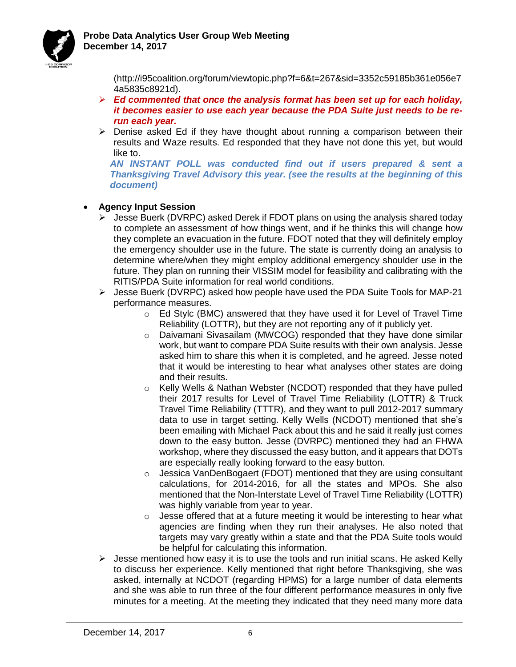



(http://i95coalition.org/forum/viewtopic.php?f=6&t=267&sid=3352c59185b361e056e7 4a5835c8921d).

- ➢ *Ed commented that once the analysis format has been set up for each holiday, it becomes easier to use each year because the PDA Suite just needs to be rerun each year.*
- $\triangleright$  Denise asked Ed if they have thought about running a comparison between their results and Waze results. Ed responded that they have not done this yet, but would like to.

*AN INSTANT POLL was conducted find out if users prepared & sent a Thanksgiving Travel Advisory this year. (see the results at the beginning of this document)*

### • **Agency Input Session**

- ➢ Jesse Buerk (DVRPC) asked Derek if FDOT plans on using the analysis shared today to complete an assessment of how things went, and if he thinks this will change how they complete an evacuation in the future. FDOT noted that they will definitely employ the emergency shoulder use in the future. The state is currently doing an analysis to determine where/when they might employ additional emergency shoulder use in the future. They plan on running their VISSIM model for feasibility and calibrating with the RITIS/PDA Suite information for real world conditions.
- ➢ Jesse Buerk (DVRPC) asked how people have used the PDA Suite Tools for MAP-21 performance measures.
	- $\circ$  Ed Stylc (BMC) answered that they have used it for Level of Travel Time Reliability (LOTTR), but they are not reporting any of it publicly yet.
	- $\circ$  Daivamani Sivasailam (MWCOG) responded that they have done similar work, but want to compare PDA Suite results with their own analysis. Jesse asked him to share this when it is completed, and he agreed. Jesse noted that it would be interesting to hear what analyses other states are doing and their results.
	- o Kelly Wells & Nathan Webster (NCDOT) responded that they have pulled their 2017 results for Level of Travel Time Reliability (LOTTR) & Truck Travel Time Reliability (TTTR), and they want to pull 2012-2017 summary data to use in target setting. Kelly Wells (NCDOT) mentioned that she's been emailing with Michael Pack about this and he said it really just comes down to the easy button. Jesse (DVRPC) mentioned they had an FHWA workshop, where they discussed the easy button, and it appears that DOTs are especially really looking forward to the easy button.
	- $\circ$  Jessica VanDenBogaert (FDOT) mentioned that they are using consultant calculations, for 2014-2016, for all the states and MPOs. She also mentioned that the Non-Interstate Level of Travel Time Reliability (LOTTR) was highly variable from year to year.
	- $\circ$  Jesse offered that at a future meeting it would be interesting to hear what agencies are finding when they run their analyses. He also noted that targets may vary greatly within a state and that the PDA Suite tools would be helpful for calculating this information.
- $\triangleright$  Jesse mentioned how easy it is to use the tools and run initial scans. He asked Kelly to discuss her experience. Kelly mentioned that right before Thanksgiving, she was asked, internally at NCDOT (regarding HPMS) for a large number of data elements and she was able to run three of the four different performance measures in only five minutes for a meeting. At the meeting they indicated that they need many more data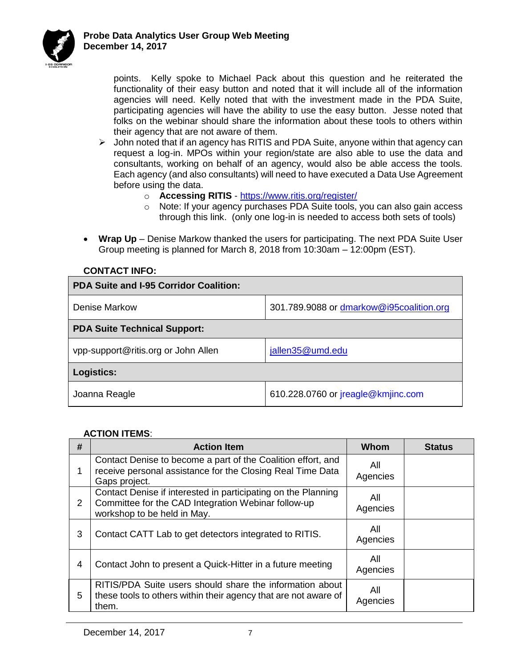

points. Kelly spoke to Michael Pack about this question and he reiterated the functionality of their easy button and noted that it will include all of the information agencies will need. Kelly noted that with the investment made in the PDA Suite, participating agencies will have the ability to use the easy button. Jesse noted that folks on the webinar should share the information about these tools to others within their agency that are not aware of them.

- ➢ John noted that if an agency has RITIS and PDA Suite, anyone within that agency can request a log-in. MPOs within your region/state are also able to use the data and consultants, working on behalf of an agency, would also be able access the tools. Each agency (and also consultants) will need to have executed a Data Use Agreement before using the data.
	- o **Accessing RITIS**  <https://www.ritis.org/register/>
	- o Note: If your agency purchases PDA Suite tools, you can also gain access through this link. (only one log-in is needed to access both sets of tools)
- **Wrap Up** Denise Markow thanked the users for participating. The next PDA Suite User Group meeting is planned for March 8, 2018 from 10:30am – 12:00pm (EST).

| <b>PDA Suite and I-95 Corridor Coalition:</b> |                                          |  |  |  |
|-----------------------------------------------|------------------------------------------|--|--|--|
| Denise Markow                                 | 301.789.9088 or dmarkow@i95coalition.org |  |  |  |
| <b>PDA Suite Technical Support:</b>           |                                          |  |  |  |
| vpp-support@ritis.org or John Allen           | jallen35@umd.edu                         |  |  |  |
| Logistics:                                    |                                          |  |  |  |
| Joanna Reagle                                 | 610.228.0760 or jreagle@kmjinc.com       |  |  |  |

# **CONTACT INFO:**

#### **ACTION ITEMS**:

| # | <b>Action Item</b>                                                                                                                                                     | Whom            | <b>Status</b> |
|---|------------------------------------------------------------------------------------------------------------------------------------------------------------------------|-----------------|---------------|
| 1 | Contact Denise to become a part of the Coalition effort, and<br>receive personal assistance for the Closing Real Time Data<br>Gaps project.                            | All<br>Agencies |               |
| 2 | Contact Denise if interested in participating on the Planning<br>All<br>Committee for the CAD Integration Webinar follow-up<br>Agencies<br>workshop to be held in May. |                 |               |
| 3 | Contact CATT Lab to get detectors integrated to RITIS.                                                                                                                 | All<br>Agencies |               |
| 4 | Contact John to present a Quick-Hitter in a future meeting                                                                                                             | All<br>Agencies |               |
| 5 | RITIS/PDA Suite users should share the information about<br>these tools to others within their agency that are not aware of<br>them.                                   | All<br>Agencies |               |